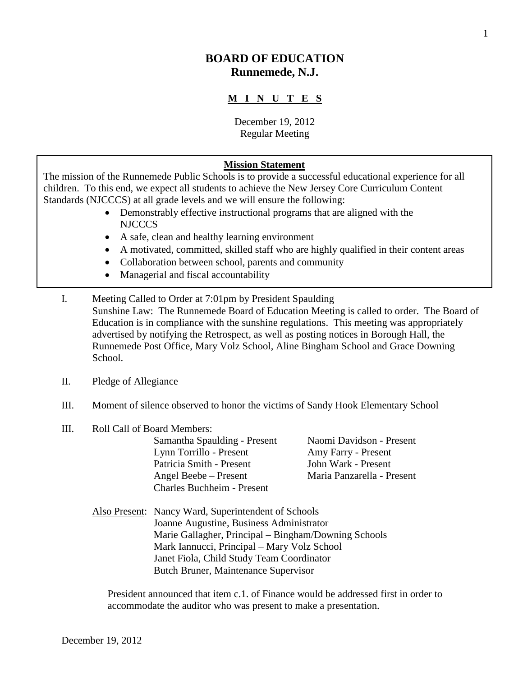# **BOARD OF EDUCATION Runnemede, N.J.**

# **M I N U T E S**

December 19, 2012 Regular Meeting

#### **Mission Statement**

The mission of the Runnemede Public Schools is to provide a successful educational experience for all children. To this end, we expect all students to achieve the New Jersey Core Curriculum Content Standards (NJCCCS) at all grade levels and we will ensure the following:

- Demonstrably effective instructional programs that are aligned with the NJCCCS
- A safe, clean and healthy learning environment
- A motivated, committed, skilled staff who are highly qualified in their content areas
- Collaboration between school, parents and community
- Managerial and fiscal accountability
- I. Meeting Called to Order at 7:01pm by President Spaulding Sunshine Law: The Runnemede Board of Education Meeting is called to order. The Board of Education is in compliance with the sunshine regulations. This meeting was appropriately advertised by notifying the Retrospect, as well as posting notices in Borough Hall, the Runnemede Post Office, Mary Volz School, Aline Bingham School and Grace Downing School.
- II. Pledge of Allegiance
- III. Moment of silence observed to honor the victims of Sandy Hook Elementary School
- III. Roll Call of Board Members:

Samantha Spaulding - Present Naomi Davidson - Present Lynn Torrillo - Present Amy Farry - Present Patricia Smith - Present John Wark - Present Angel Beebe – Present Maria Panzarella - Present Charles Buchheim - Present

Also Present: Nancy Ward, Superintendent of Schools Joanne Augustine, Business Administrator Marie Gallagher, Principal – Bingham/Downing Schools Mark Iannucci, Principal – Mary Volz School Janet Fiola, Child Study Team Coordinator Butch Bruner, Maintenance Supervisor

President announced that item c.1. of Finance would be addressed first in order to accommodate the auditor who was present to make a presentation.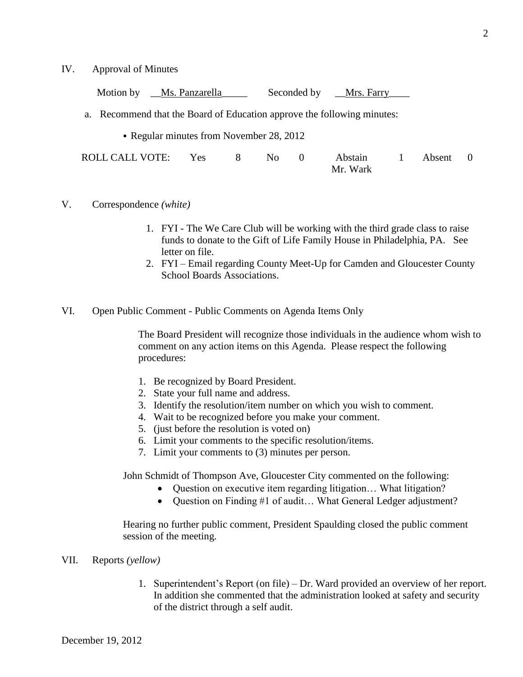IV. Approval of Minutes

Motion by \_\_Ms. Panzarella \_\_\_\_\_\_\_\_\_\_ Seconded by \_\_Mrs. Farry\_

- a. Recommend that the Board of Education approve the following minutes:
	- Regular minutes from November 28, 2012

| ROLL CALL VOTE: Yes |          | $8$ No 0 |  | Abstain |  | 1 Absent 0 |  |
|---------------------|----------|----------|--|---------|--|------------|--|
|                     | Mr. Wark |          |  |         |  |            |  |

- V. Correspondence *(white)*
	- 1. FYI The We Care Club will be working with the third grade class to raise funds to donate to the Gift of Life Family House in Philadelphia, PA. See letter on file.
	- 2. FYI Email regarding County Meet-Up for Camden and Gloucester County School Boards Associations.
- VI. Open Public Comment Public Comments on Agenda Items Only

The Board President will recognize those individuals in the audience whom wish to comment on any action items on this Agenda. Please respect the following procedures:

- 1. Be recognized by Board President.
- 2. State your full name and address.
- 3. Identify the resolution/item number on which you wish to comment.
- 4. Wait to be recognized before you make your comment.
- 5. (just before the resolution is voted on)
- 6. Limit your comments to the specific resolution/items.
- 7. Limit your comments to (3) minutes per person.

John Schmidt of Thompson Ave, Gloucester City commented on the following:

- Question on executive item regarding litigation… What litigation?
- Ouestion on Finding #1 of audit... What General Ledger adjustment?

Hearing no further public comment, President Spaulding closed the public comment session of the meeting.

- VII. Reports *(yellow)*
	- 1. Superintendent's Report (on file) Dr. Ward provided an overview of her report. In addition she commented that the administration looked at safety and security of the district through a self audit.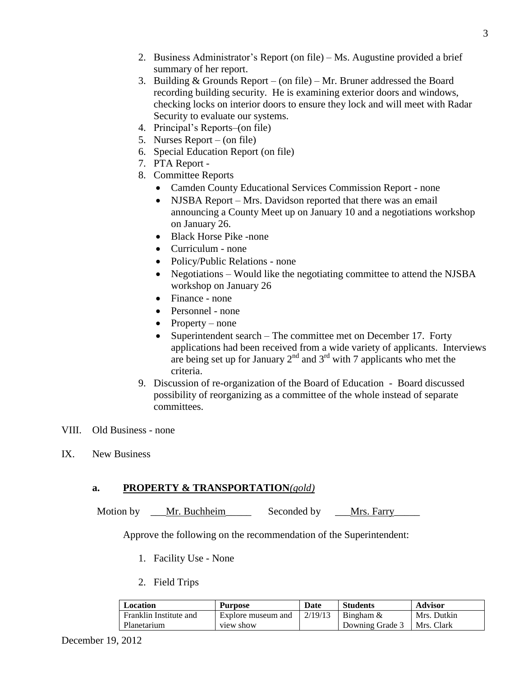- 2. Business Administrator's Report (on file) Ms. Augustine provided a brief summary of her report.
- 3. Building & Grounds Report (on file) Mr. Bruner addressed the Board recording building security. He is examining exterior doors and windows, checking locks on interior doors to ensure they lock and will meet with Radar Security to evaluate our systems.
- 4. Principal's Reports–(on file)
- 5. Nurses Report (on file)
- 6. Special Education Report (on file)
- 7. PTA Report -
- 8. Committee Reports
	- Camden County Educational Services Commission Report none
	- NJSBA Report Mrs. Davidson reported that there was an email announcing a County Meet up on January 10 and a negotiations workshop on January 26.
	- Black Horse Pike -none
	- Curriculum none
	- Policy/Public Relations none
	- Negotiations Would like the negotiating committee to attend the NJSBA workshop on January 26
	- Finance none
	- Personnel none
	- Property none
	- Superintendent search The committee met on December 17. Forty applications had been received from a wide variety of applicants. Interviews are being set up for January  $2^{nd}$  and  $3^{rd}$  with 7 applicants who met the criteria.
- 9. Discussion of re-organization of the Board of Education Board discussed possibility of reorganizing as a committee of the whole instead of separate committees.
- VIII. Old Business none
- IX. New Business

### **a. PROPERTY & TRANSPORTATION***(gold)*

Motion by Left. Buchheim Seconded by Mrs. Farry

Approve the following on the recommendation of the Superintendent:

- 1. Facility Use None
- 2. Field Trips

| Location               | <b>Purpose</b>     | Date     | <b>Students</b>              | <b>Advisor</b> |
|------------------------|--------------------|----------|------------------------------|----------------|
| Franklin Institute and | Explore museum and | 12/19/13 | Bingham &                    | Mrs. Dutkin    |
| Planetarium            | view show          |          | Downing Grade 3   Mrs. Clark |                |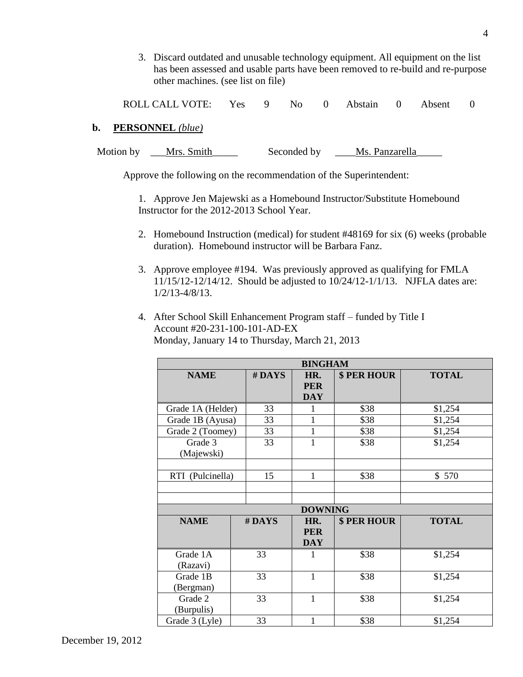3. Discard outdated and unusable technology equipment. All equipment on the list has been assessed and usable parts have been removed to re-build and re-purpose other machines. (see list on file)

ROLL CALL VOTE: Yes 9 No 0 Abstain 0 Absent 0

#### **b. PERSONNEL** *(blue)*

| Motion by | Mrs. Smith | Seconded by | Ms. Panzarella |
|-----------|------------|-------------|----------------|
|-----------|------------|-------------|----------------|

Approve the following on the recommendation of the Superintendent:

1. Approve Jen Majewski as a Homebound Instructor/Substitute Homebound Instructor for the 2012-2013 School Year.

- 2. Homebound Instruction (medical) for student #48169 for six (6) weeks (probable duration). Homebound instructor will be Barbara Fanz.
- 3. Approve employee #194. Was previously approved as qualifying for FMLA 11/15/12-12/14/12. Should be adjusted to 10/24/12-1/1/13. NJFLA dates are: 1/2/13-4/8/13.
- 4. After School Skill Enhancement Program staff funded by Title I Account #20-231-100-101-AD-EX Monday, January 14 to Thursday, March 21, 2013

| <b>BINGHAM</b>        |        |                                 |             |              |  |  |  |
|-----------------------|--------|---------------------------------|-------------|--------------|--|--|--|
| <b>NAME</b>           | # DAYS | HR.<br><b>PER</b><br><b>DAY</b> | \$ PER HOUR | <b>TOTAL</b> |  |  |  |
| Grade 1A (Helder)     | 33     | 1                               | \$38        | \$1,254      |  |  |  |
| Grade 1B (Ayusa)      | 33     | $\mathbf{1}$                    | \$38        | \$1,254      |  |  |  |
| Grade 2 (Toomey)      | 33     | $\mathbf{1}$                    | \$38        | \$1,254      |  |  |  |
| Grade 3<br>(Majewski) | 33     | $\mathbf{1}$                    | \$38        | \$1,254      |  |  |  |
| RTI (Pulcinella)      | 15     | 1                               | \$38        | \$570        |  |  |  |
|                       |        |                                 |             |              |  |  |  |
|                       |        | <b>DOWNING</b>                  |             |              |  |  |  |
| <b>NAME</b>           | #DAYS  | HR.<br><b>PER</b><br><b>DAY</b> | \$ PER HOUR | <b>TOTAL</b> |  |  |  |
| Grade 1A<br>(Razavi)  | 33     | 1                               | \$38        | \$1,254      |  |  |  |
| Grade 1B<br>(Bergman) | 33     | $\mathbf{1}$                    | \$38        | \$1,254      |  |  |  |
| Grade 2<br>(Burpulis) | 33     | 1                               | \$38        | \$1,254      |  |  |  |
| Grade 3 (Lyle)        | 33     | 1                               | \$38        | \$1,254      |  |  |  |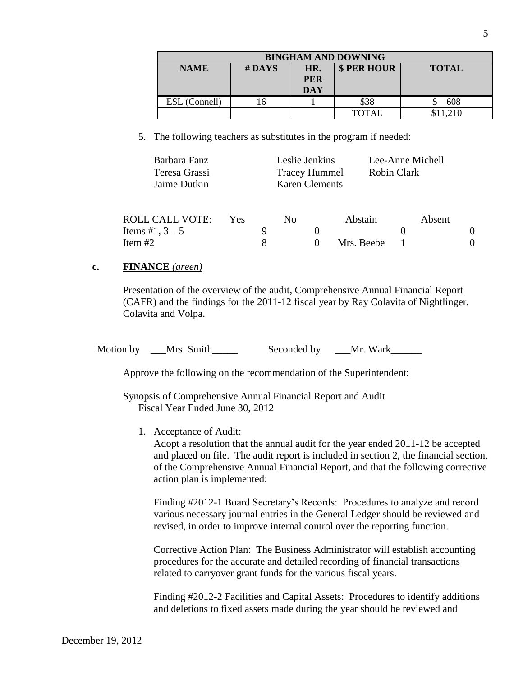| <b>BINGHAM AND DOWNING</b> |                                                |            |              |          |  |  |  |
|----------------------------|------------------------------------------------|------------|--------------|----------|--|--|--|
| <b>NAME</b>                | \$ PER HOUR<br>$#$ DAYS<br><b>TOTAL</b><br>HR. |            |              |          |  |  |  |
| <b>PER</b>                 |                                                |            |              |          |  |  |  |
|                            |                                                | <b>DAY</b> |              |          |  |  |  |
| ESL (Connell)              |                                                |            | \$38         | 608      |  |  |  |
|                            |                                                |            | <b>TOTAL</b> | \$11,210 |  |  |  |

5. The following teachers as substitutes in the program if needed:

| Barbara Fanz<br>Teresa Grassi<br>Jaime Dutkin |      | Leslie Jenkins<br><b>Tracey Hummel</b><br><b>Karen Clements</b> |    |  | Lee-Anne Michell<br>Robin Clark |  |  |        |  |
|-----------------------------------------------|------|-----------------------------------------------------------------|----|--|---------------------------------|--|--|--------|--|
|                                               |      |                                                                 |    |  |                                 |  |  |        |  |
| ROLL CALL VOTE:                               | Yes. |                                                                 | No |  | Abstain                         |  |  | Absent |  |
| Items #1, $3 - 5$                             |      | 9                                                               |    |  |                                 |  |  |        |  |
| Item $#2$                                     |      | 8                                                               |    |  | Mrs. Beebe                      |  |  |        |  |

#### **c. FINANCE** *(green)*

Presentation of the overview of the audit, Comprehensive Annual Financial Report (CAFR) and the findings for the 2011-12 fiscal year by Ray Colavita of Nightlinger, Colavita and Volpa.

Motion by Let Mrs. Smith Seconded by Mr. Wark

Approve the following on the recommendation of the Superintendent:

Synopsis of Comprehensive Annual Financial Report and Audit Fiscal Year Ended June 30, 2012

1. Acceptance of Audit:

Adopt a resolution that the annual audit for the year ended 2011-12 be accepted and placed on file. The audit report is included in section 2, the financial section, of the Comprehensive Annual Financial Report, and that the following corrective action plan is implemented:

Finding #2012-1 Board Secretary's Records: Procedures to analyze and record various necessary journal entries in the General Ledger should be reviewed and revised, in order to improve internal control over the reporting function.

Corrective Action Plan: The Business Administrator will establish accounting procedures for the accurate and detailed recording of financial transactions related to carryover grant funds for the various fiscal years.

Finding #2012-2 Facilities and Capital Assets: Procedures to identify additions and deletions to fixed assets made during the year should be reviewed and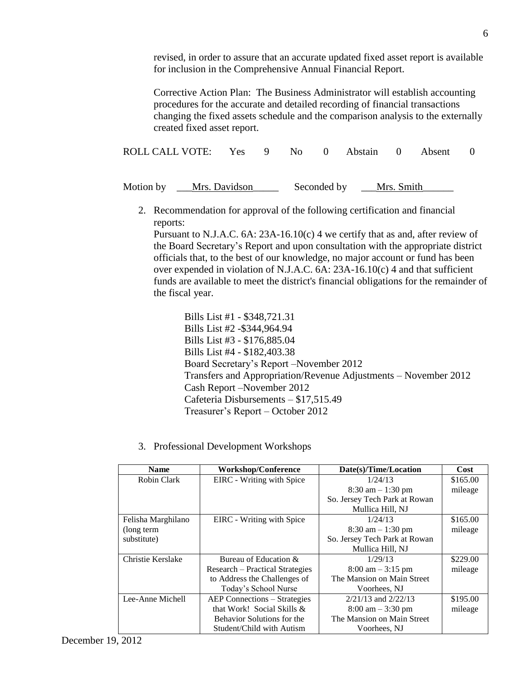revised, in order to assure that an accurate updated fixed asset report is available for inclusion in the Comprehensive Annual Financial Report.

Corrective Action Plan: The Business Administrator will establish accounting procedures for the accurate and detailed recording of financial transactions changing the fixed assets schedule and the comparison analysis to the externally created fixed asset report.

|  | ROLL CALL VOTE: Yes 9 No 0 Abstain 0 Absent 0 |  |  |  |  |  |  |  |  |
|--|-----------------------------------------------|--|--|--|--|--|--|--|--|
|--|-----------------------------------------------|--|--|--|--|--|--|--|--|

| Motion by | Mrs. Davidson | Seconded by | Mrs. Smith |
|-----------|---------------|-------------|------------|
|           |               |             |            |

2. Recommendation for approval of the following certification and financial reports:

Pursuant to N.J.A.C.  $6A: 23A-16.10(c)$  4 we certify that as and, after review of the Board Secretary's Report and upon consultation with the appropriate district officials that, to the best of our knowledge, no major account or fund has been over expended in violation of N.J.A.C. 6A: 23A-16.10(c) 4 and that sufficient funds are available to meet the district's financial obligations for the remainder of the fiscal year.

Bills List #1 - \$348,721.31 Bills List #2 -\$344,964.94 Bills List #3 - \$176,885.04 Bills List #4 - \$182,403.38 Board Secretary's Report –November 2012 Transfers and Appropriation/Revenue Adjustments – November 2012 Cash Report –November 2012 Cafeteria Disbursements – \$17,515.49 Treasurer's Report – October 2012

3. Professional Development Workshops

| <b>Name</b>        | <b>Workshop/Conference</b>          | Date(s)/Time/Location               | Cost     |
|--------------------|-------------------------------------|-------------------------------------|----------|
| Robin Clark        | EIRC - Writing with Spice           | 1/24/13                             | \$165.00 |
|                    |                                     | $8:30$ am $-1:30$ pm                | mileage  |
|                    |                                     | So. Jersey Tech Park at Rowan       |          |
|                    |                                     | Mullica Hill, NJ                    |          |
| Felisha Marghilano | EIRC - Writing with Spice           | 1/24/13                             | \$165.00 |
| (long term)        |                                     | $8:30$ am $-1:30$ pm                | mileage  |
| substitute)        |                                     | So. Jersey Tech Park at Rowan       |          |
|                    |                                     | Mullica Hill, NJ                    |          |
| Christie Kerslake  | Bureau of Education $\&$            | 1/29/13                             | \$229.00 |
|                    | Research – Practical Strategies     | $8:00 \text{ am} - 3:15 \text{ pm}$ | mileage  |
|                    | to Address the Challenges of        | The Mansion on Main Street          |          |
|                    | Today's School Nurse                | Voorhees, NJ                        |          |
| Lee-Anne Michell   | <b>AEP Connections - Strategies</b> | $2/21/13$ and $2/22/13$             | \$195.00 |
|                    | that Work! Social Skills &          | $8:00 \text{ am} - 3:30 \text{ pm}$ | mileage  |
|                    | Behavior Solutions for the          | The Mansion on Main Street          |          |
|                    | Student/Child with Autism           | Voorhees, NJ                        |          |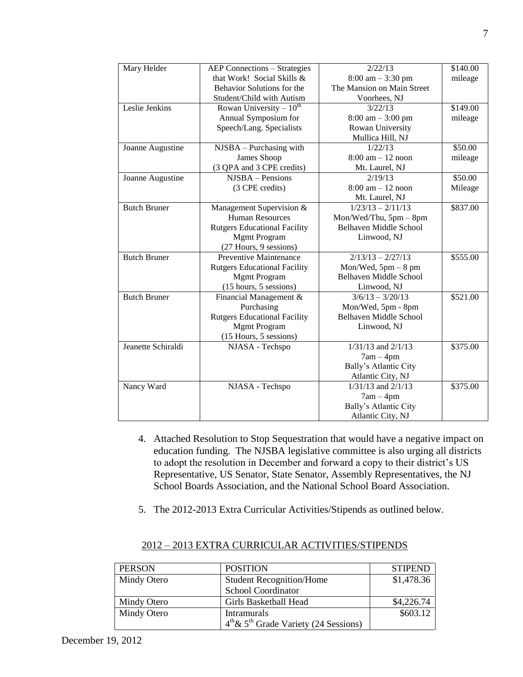| <b>AEP Connections – Strategies</b> |                                                                                                                                                               | \$140.00                                                                                                                                                           |
|-------------------------------------|---------------------------------------------------------------------------------------------------------------------------------------------------------------|--------------------------------------------------------------------------------------------------------------------------------------------------------------------|
|                                     |                                                                                                                                                               | mileage                                                                                                                                                            |
| Behavior Solutions for the          |                                                                                                                                                               |                                                                                                                                                                    |
| Student/Child with Autism           | Voorhees, NJ                                                                                                                                                  |                                                                                                                                                                    |
|                                     | 3/22/13                                                                                                                                                       | \$149.00                                                                                                                                                           |
| Annual Symposium for                | $8:00 \text{ am} - 3:00 \text{ pm}$                                                                                                                           | mileage                                                                                                                                                            |
| Speech/Lang. Specialists            | Rowan University                                                                                                                                              |                                                                                                                                                                    |
|                                     | Mullica Hill, NJ                                                                                                                                              |                                                                                                                                                                    |
| NJSBA - Purchasing with             | 1/22/13                                                                                                                                                       | \$50.00                                                                                                                                                            |
| James Shoop                         | $8:00$ am $-12$ noon                                                                                                                                          | mileage                                                                                                                                                            |
| (3 QPA and 3 CPE credits)           | Mt. Laurel, NJ                                                                                                                                                |                                                                                                                                                                    |
| NJSBA - Pensions                    | 2/19/13                                                                                                                                                       | \$50.00                                                                                                                                                            |
| (3 CPE credits)                     | $8:00$ am $-12$ noon                                                                                                                                          | Mileage                                                                                                                                                            |
|                                     | Mt. Laurel, NJ                                                                                                                                                |                                                                                                                                                                    |
|                                     | $1/23/13 - 2/11/13$                                                                                                                                           | \$837.00                                                                                                                                                           |
| <b>Human Resources</b>              | Mon/Wed/Thu, 5pm - 8pm                                                                                                                                        |                                                                                                                                                                    |
| <b>Rutgers Educational Facility</b> | <b>Belhaven Middle School</b>                                                                                                                                 |                                                                                                                                                                    |
|                                     | Linwood, NJ                                                                                                                                                   |                                                                                                                                                                    |
|                                     |                                                                                                                                                               |                                                                                                                                                                    |
| Preventive Maintenance              | $2/13/13 - 2/27/13$                                                                                                                                           | \$555.00                                                                                                                                                           |
| <b>Rutgers Educational Facility</b> | Mon/Wed, $5pm - 8pm$                                                                                                                                          |                                                                                                                                                                    |
|                                     | Belhaven Middle School                                                                                                                                        |                                                                                                                                                                    |
| (15 hours, 5 sessions)              | Linwood, NJ                                                                                                                                                   |                                                                                                                                                                    |
| Financial Management &              | $3/6/13 - 3/20/13$                                                                                                                                            | \$521.00                                                                                                                                                           |
| Purchasing                          | Mon/Wed, 5pm - 8pm                                                                                                                                            |                                                                                                                                                                    |
| <b>Rutgers Educational Facility</b> | Belhaven Middle School                                                                                                                                        |                                                                                                                                                                    |
| <b>Mgmt Program</b>                 | Linwood, NJ                                                                                                                                                   |                                                                                                                                                                    |
| (15 Hours, 5 sessions)              |                                                                                                                                                               |                                                                                                                                                                    |
| NJASA - Techspo                     | $1/31/13$ and $2/1/13$                                                                                                                                        | \$375.00                                                                                                                                                           |
|                                     |                                                                                                                                                               |                                                                                                                                                                    |
|                                     |                                                                                                                                                               |                                                                                                                                                                    |
|                                     |                                                                                                                                                               |                                                                                                                                                                    |
| NJASA - Techspo                     | $1/31/13$ and $2/1/13$                                                                                                                                        | \$375.00                                                                                                                                                           |
|                                     | $7am - 4pm$                                                                                                                                                   |                                                                                                                                                                    |
|                                     |                                                                                                                                                               |                                                                                                                                                                    |
|                                     | Atlantic City, NJ                                                                                                                                             |                                                                                                                                                                    |
|                                     | that Work! Social Skills &<br>Rowan University $-10^{th}$<br>Management Supervision &<br><b>Mgmt Program</b><br>(27 Hours, 9 sessions)<br><b>Mgmt Program</b> | 2/22/13<br>$8:00 \text{ am} - 3:30 \text{ pm}$<br>The Mansion on Main Street<br>$7am - 4pm$<br>Bally's Atlantic City<br>Atlantic City, NJ<br>Bally's Atlantic City |

- 4. Attached Resolution to Stop Sequestration that would have a negative impact on education funding. The NJSBA legislative committee is also urging all districts to adopt the resolution in December and forward a copy to their district's US Representative, US Senator, State Senator, Assembly Representatives, the NJ School Boards Association, and the National School Board Association.
- 5. The 2012-2013 Extra Curricular Activities/Stipends as outlined below.

| <b>PERSON</b> | <b>POSITION</b>                          | <b>STIPEND</b> |
|---------------|------------------------------------------|----------------|
| Mindy Otero   | <b>Student Recognition/Home</b>          | \$1,478.36     |
|               | <b>School Coordinator</b>                |                |
| Mindy Otero   | Girls Basketball Head                    | \$4,226.74     |
| Mindy Otero   | Intramurals                              | \$603.12       |
|               | $4th \& 5th$ Grade Variety (24 Sessions) |                |

### 2012 – 2013 EXTRA CURRICULAR ACTIVITIES/STIPENDS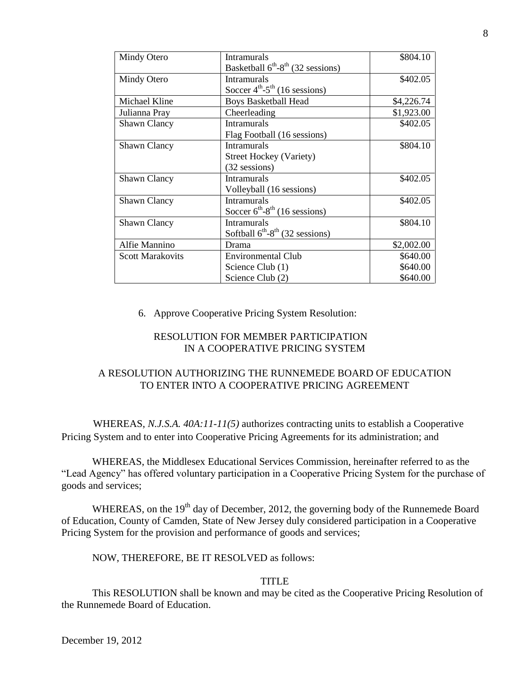| Mindy Otero             | <b>Intramurals</b>                               | \$804.10   |
|-------------------------|--------------------------------------------------|------------|
|                         | Basketball $6^{th}$ - $8^{th}$ (32 sessions)     |            |
| Mindy Otero             | <b>Intramurals</b>                               | \$402.05   |
|                         | Soccer $4^{th} -5^{th}$ (16 sessions)            |            |
| Michael Kline           | <b>Boys Basketball Head</b>                      | \$4,226.74 |
| Julianna Pray           | Cheerleading                                     | \$1,923.00 |
| <b>Shawn Clancy</b>     | <b>Intramurals</b>                               | \$402.05   |
|                         | Flag Football (16 sessions)                      |            |
| <b>Shawn Clancy</b>     | <b>Intramurals</b>                               | \$804.10   |
|                         | <b>Street Hockey (Variety)</b>                   |            |
|                         | (32 sessions)                                    |            |
| <b>Shawn Clancy</b>     | <b>Intramurals</b>                               | \$402.05   |
|                         | Volleyball (16 sessions)                         |            |
| <b>Shawn Clancy</b>     | <b>Intramurals</b>                               | \$402.05   |
|                         | Soccer $6^{th}$ -8 <sup>th</sup> (16 sessions)   |            |
| <b>Shawn Clancy</b>     | <b>Intramurals</b>                               | \$804.10   |
|                         | Softball $6^{th}$ -8 <sup>th</sup> (32 sessions) |            |
| Alfie Mannino           | Drama                                            | \$2,002.00 |
| <b>Scott Marakovits</b> | <b>Environmental Club</b>                        | \$640.00   |
|                         | Science Club (1)                                 | \$640.00   |
|                         | Science Club (2)                                 | \$640.00   |

6. Approve Cooperative Pricing System Resolution:

### RESOLUTION FOR MEMBER PARTICIPATION IN A COOPERATIVE PRICING SYSTEM

## A RESOLUTION AUTHORIZING THE RUNNEMEDE BOARD OF EDUCATION TO ENTER INTO A COOPERATIVE PRICING AGREEMENT

 WHEREAS, *N.J.S.A. 40A:11-11(5)* authorizes contracting units to establish a Cooperative Pricing System and to enter into Cooperative Pricing Agreements for its administration; and

 WHEREAS, the Middlesex Educational Services Commission, hereinafter referred to as the "Lead Agency" has offered voluntary participation in a Cooperative Pricing System for the purchase of goods and services;

WHEREAS, on the  $19<sup>th</sup>$  day of December, 2012, the governing body of the Runnemede Board of Education, County of Camden, State of New Jersey duly considered participation in a Cooperative Pricing System for the provision and performance of goods and services;

NOW, THEREFORE, BE IT RESOLVED as follows:

### TITLE

 This RESOLUTION shall be known and may be cited as the Cooperative Pricing Resolution of the Runnemede Board of Education.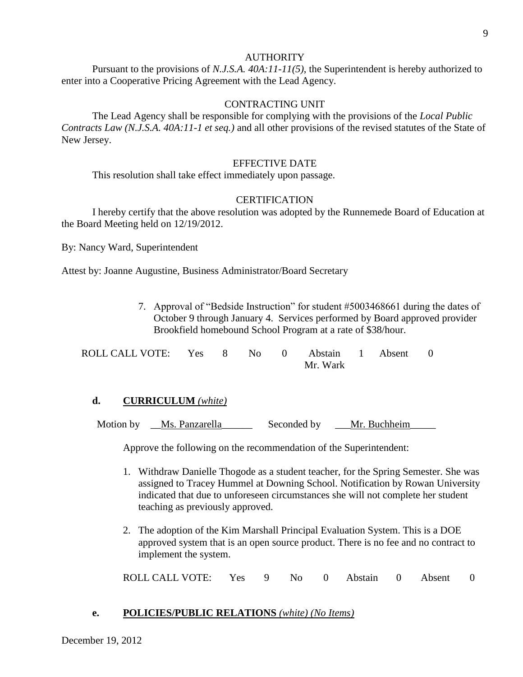#### **AUTHORITY**

 Pursuant to the provisions of *N.J.S.A. 40A:11-11(5)*, the Superintendent is hereby authorized to enter into a Cooperative Pricing Agreement with the Lead Agency.

#### CONTRACTING UNIT

 The Lead Agency shall be responsible for complying with the provisions of the *Local Public Contracts Law (N.J.S.A. 40A:11-1 et seq.)* and all other provisions of the revised statutes of the State of New Jersey.

#### EFFECTIVE DATE

This resolution shall take effect immediately upon passage.

#### **CERTIFICATION**

 I hereby certify that the above resolution was adopted by the Runnemede Board of Education at the Board Meeting held on 12/19/2012.

By: Nancy Ward, Superintendent

Attest by: Joanne Augustine, Business Administrator/Board Secretary

7. Approval of "Bedside Instruction" for student #5003468661 during the dates of October 9 through January 4. Services performed by Board approved provider Brookfield homebound School Program at a rate of \$38/hour.

| ROLL CALL VOTE: Yes 8 No 0 Abstain 1 Absent 0 |  |          |  |  |  |
|-----------------------------------------------|--|----------|--|--|--|
|                                               |  | Mr. Wark |  |  |  |

#### **d. CURRICULUM** *(white)*

Motion by Ms. Panzarella Seconded by Mr. Buchheim

Approve the following on the recommendation of the Superintendent:

- 1. Withdraw Danielle Thogode as a student teacher, for the Spring Semester. She was assigned to Tracey Hummel at Downing School. Notification by Rowan University indicated that due to unforeseen circumstances she will not complete her student teaching as previously approved.
- 2. The adoption of the Kim Marshall Principal Evaluation System. This is a DOE approved system that is an open source product. There is no fee and no contract to implement the system.

ROLL CALL VOTE: Yes 9 No 0 Abstain 0 Absent 0

#### **e. POLICIES/PUBLIC RELATIONS** *(white) (No Items)*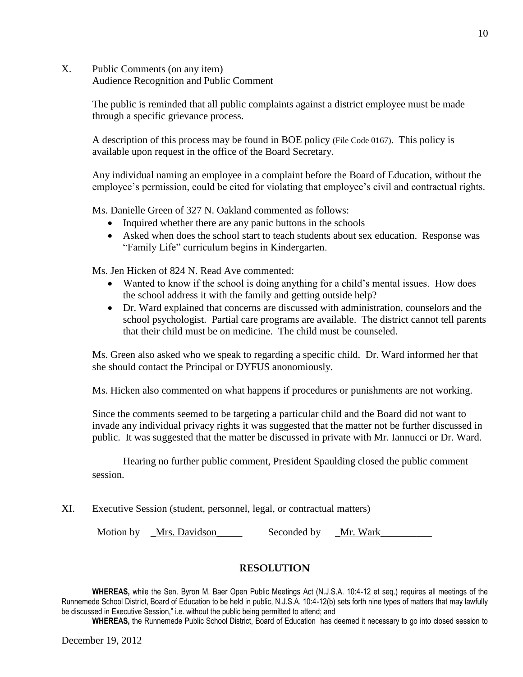X. Public Comments (on any item) Audience Recognition and Public Comment

> The public is reminded that all public complaints against a district employee must be made through a specific grievance process.

A description of this process may be found in BOE policy (File Code 0167). This policy is available upon request in the office of the Board Secretary.

Any individual naming an employee in a complaint before the Board of Education, without the employee's permission, could be cited for violating that employee's civil and contractual rights.

Ms. Danielle Green of 327 N. Oakland commented as follows:

- Inquired whether there are any panic buttons in the schools
- Asked when does the school start to teach students about sex education. Response was "Family Life" curriculum begins in Kindergarten.

Ms. Jen Hicken of 824 N. Read Ave commented:

- Wanted to know if the school is doing anything for a child's mental issues. How does the school address it with the family and getting outside help?
- Dr. Ward explained that concerns are discussed with administration, counselors and the school psychologist. Partial care programs are available. The district cannot tell parents that their child must be on medicine. The child must be counseled.

Ms. Green also asked who we speak to regarding a specific child. Dr. Ward informed her that she should contact the Principal or DYFUS anonomiously.

Ms. Hicken also commented on what happens if procedures or punishments are not working.

Since the comments seemed to be targeting a particular child and the Board did not want to invade any individual privacy rights it was suggested that the matter not be further discussed in public. It was suggested that the matter be discussed in private with Mr. Iannucci or Dr. Ward.

Hearing no further public comment, President Spaulding closed the public comment session.

XI. Executive Session (student, personnel, legal, or contractual matters)

Motion by \_Mrs. Davidson \_\_\_\_\_\_\_\_\_ Seconded by \_\_Mr. Wark

### **RESOLUTION**

**WHEREAS,** while the Sen. Byron M. Baer Open Public Meetings Act (N.J.S.A. 10:4-12 et seq.) requires all meetings of the Runnemede School District, Board of Education to be held in public, N.J.S.A. 10:4-12(b) sets forth nine types of matters that may lawfully be discussed in Executive Session," i.e. without the public being permitted to attend; and

**WHEREAS,** the Runnemede Public School District, Board of Education has deemed it necessary to go into closed session to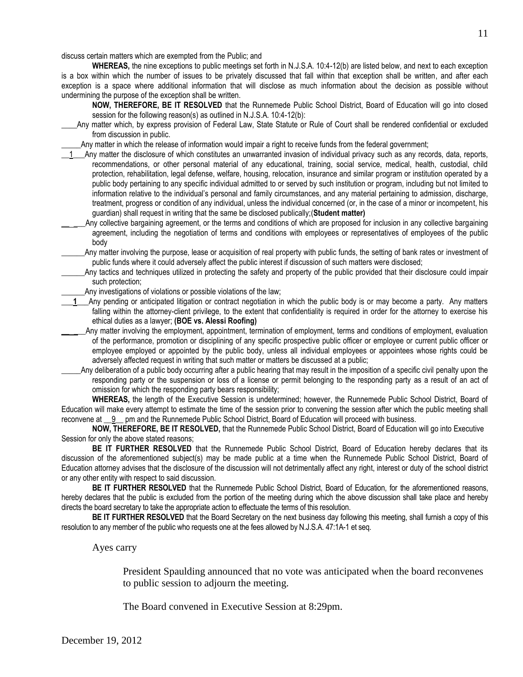discuss certain matters which are exempted from the Public; and

**WHEREAS,** the nine exceptions to public meetings set forth in N.J.S.A. 10:4-12(b) are listed below, and next to each exception is a box within which the number of issues to be privately discussed that fall within that exception shall be written, and after each exception is a space where additional information that will disclose as much information about the decision as possible without undermining the purpose of the exception shall be written.

- **NOW, THEREFORE, BE IT RESOLVED** that the Runnemede Public School District, Board of Education will go into closed session for the following reason(s) as outlined in N.J.S.A. 10:4-12(b):
- **\_\_\_\_**Any matter which, by express provision of Federal Law, State Statute or Rule of Court shall be rendered confidential or excluded from discussion in public.

Any matter in which the release of information would impair a right to receive funds from the federal government;

- 1\_Any matter the disclosure of which constitutes an unwarranted invasion of individual privacy such as any records, data, reports, recommendations, or other personal material of any educational, training, social service, medical, health, custodial, child protection, rehabilitation, legal defense, welfare, housing, relocation, insurance and similar program or institution operated by a public body pertaining to any specific individual admitted to or served by such institution or program, including but not limited to information relative to the individual's personal and family circumstances, and any material pertaining to admission, discharge, treatment, progress or condition of any individual, unless the individual concerned (or, in the case of a minor or incompetent, his guardian) shall request in writing that the same be disclosed publically;(**Student matter)**
- Any collective bargaining agreement, or the terms and conditions of which are proposed for inclusion in any collective bargaining agreement, including the negotiation of terms and conditions with employees or representatives of employees of the public body

Any matter involving the purpose, lease or acquisition of real property with public funds, the setting of bank rates or investment of public funds where it could adversely affect the public interest if discussion of such matters were disclosed;

- \_\_\_\_\_\_Any tactics and techniques utilized in protecting the safety and property of the public provided that their disclosure could impair such protection;
- Any investigations of violations or possible violations of the law;
- 1 Any pending or anticipated litigation or contract negotiation in which the public body is or may become a party. Any matters falling within the attorney-client privilege, to the extent that confidentiality is required in order for the attorney to exercise his ethical duties as a lawyer; **(BOE vs. Alessi Roofing)**

Any matter involving the employment, appointment, termination of employment, terms and conditions of employment, evaluation of the performance, promotion or disciplining of any specific prospective public officer or employee or current public officer or employee employed or appointed by the public body, unless all individual employees or appointees whose rights could be adversely affected request in writing that such matter or matters be discussed at a public;

\_\_\_\_\_Any deliberation of a public body occurring after a public hearing that may result in the imposition of a specific civil penalty upon the responding party or the suspension or loss of a license or permit belonging to the responding party as a result of an act of omission for which the responding party bears responsibility;

**WHEREAS,** the length of the Executive Session is undetermined; however, the Runnemede Public School District, Board of Education will make every attempt to estimate the time of the session prior to convening the session after which the public meeting shall reconvene at \_\_9\_\_ pm and the Runnemede Public School District, Board of Education will proceed with business.

**NOW, THEREFORE, BE IT RESOLVED,** that the Runnemede Public School District, Board of Education will go into Executive Session for only the above stated reasons;

**BE IT FURTHER RESOLVED** that the Runnemede Public School District, Board of Education hereby declares that its discussion of the aforementioned subject(s) may be made public at a time when the Runnemede Public School District, Board of Education attorney advises that the disclosure of the discussion will not detrimentally affect any right, interest or duty of the school district or any other entity with respect to said discussion.

**BE IT FURTHER RESOLVED** that the Runnemede Public School District, Board of Education, for the aforementioned reasons, hereby declares that the public is excluded from the portion of the meeting during which the above discussion shall take place and hereby directs the board secretary to take the appropriate action to effectuate the terms of this resolution.

**BE IT FURTHER RESOLVED** that the Board Secretary on the next business day following this meeting, shall furnish a copy of this resolution to any member of the public who requests one at the fees allowed by N.J.S.A. 47:1A-1 et seq.

Ayes carry

President Spaulding announced that no vote was anticipated when the board reconvenes to public session to adjourn the meeting.

The Board convened in Executive Session at 8:29pm.